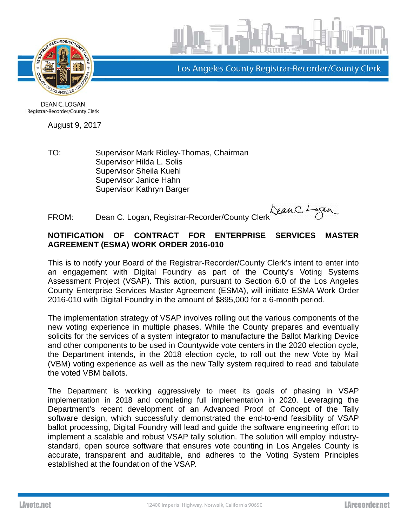



Los Angeles County Registrar-Recorder/County Clerk

**DEAN C. LOGAN** Registrar-Recorder/County Clerk

August 9, 2017

TO: Supervisor Mark Ridley-Thomas, Chairman Supervisor Hilda L. Solis Supervisor Sheila Kuehl Supervisor Janice Hahn Supervisor Kathryn Barger

FROM: Dean C. Logan, Registrar-Recorder/County Clerk

## **NOTIFICATION OF CONTRACT FOR ENTERPRISE SERVICES MASTER AGREEMENT (ESMA) WORK ORDER 2016-010**

This is to notify your Board of the Registrar-Recorder/County Clerk's intent to enter into an engagement with Digital Foundry as part of the County's Voting Systems Assessment Project (VSAP). This action, pursuant to Section 6.0 of the Los Angeles County Enterprise Services Master Agreement (ESMA), will initiate ESMA Work Order 2016-010 with Digital Foundry in the amount of \$895,000 for a 6-month period.

The implementation strategy of VSAP involves rolling out the various components of the new voting experience in multiple phases. While the County prepares and eventually solicits for the services of a system integrator to manufacture the Ballot Marking Device and other components to be used in Countywide vote centers in the 2020 election cycle, the Department intends, in the 2018 election cycle, to roll out the new Vote by Mail (VBM) voting experience as well as the new Tally system required to read and tabulate the voted VBM ballots.

The Department is working aggressively to meet its goals of phasing in VSAP implementation in 2018 and completing full implementation in 2020. Leveraging the Department's recent development of an Advanced Proof of Concept of the Tally software design, which successfully demonstrated the end-to-end feasibility of VSAP ballot processing, Digital Foundry will lead and guide the software engineering effort to implement a scalable and robust VSAP tally solution. The solution will employ industrystandard, open source software that ensures vote counting in Los Angeles County is accurate, transparent and auditable, and adheres to the Voting System Principles established at the foundation of the VSAP.